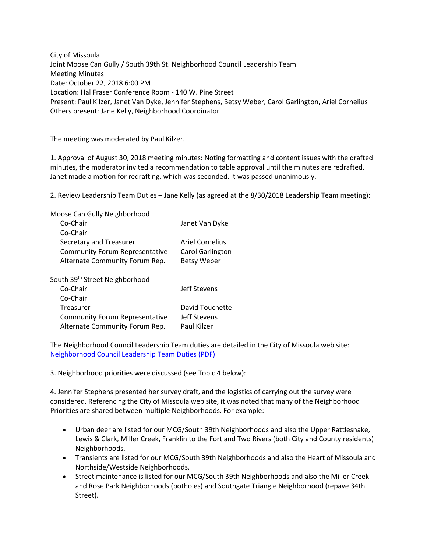City of Missoula Joint Moose Can Gully / South 39th St. Neighborhood Council Leadership Team Meeting Minutes Date: October 22, 2018 6:00 PM Location: Hal Fraser Conference Room - 140 W. Pine Street Present: Paul Kilzer, Janet Van Dyke, Jennifer Stephens, Betsy Weber, Carol Garlington, Ariel Cornelius Others present: Jane Kelly, Neighborhood Coordinator

\_\_\_\_\_\_\_\_\_\_\_\_\_\_\_\_\_\_\_\_\_\_\_\_\_\_\_\_\_\_\_\_\_\_\_\_\_\_\_\_\_\_\_\_\_\_\_\_\_\_\_\_\_\_\_\_\_\_\_\_\_\_\_\_

The meeting was moderated by Paul Kilzer.

1. Approval of August 30, 2018 meeting minutes: Noting formatting and content issues with the drafted minutes, the moderator invited a recommendation to table approval until the minutes are redrafted. Janet made a motion for redrafting, which was seconded. It was passed unanimously.

2. Review Leadership Team Duties – Jane Kelly (as agreed at the 8/30/2018 Leadership Team meeting):

| Moose Can Gully Neighborhood               |                         |
|--------------------------------------------|-------------------------|
| Co-Chair                                   | Janet Van Dyke          |
| Co-Chair                                   |                         |
| Secretary and Treasurer                    | Ariel Cornelius         |
| <b>Community Forum Representative</b>      | <b>Carol Garlington</b> |
| Alternate Community Forum Rep.             | <b>Betsy Weber</b>      |
| South 39 <sup>th</sup> Street Neighborhood |                         |
| Co-Chair                                   | Jeff Stevens            |
| Co-Chair                                   |                         |
| Treasurer                                  | David Touchette         |
| <b>Community Forum Representative</b>      | Jeff Stevens            |
| Alternate Community Forum Rep.             | Paul Kilzer             |

The Neighborhood Council Leadership Team duties are detailed in the City of Missoula web site: [Neighborhood Council Leadership Team Duties \(PDF\)](http://www.ci.missoula.mt.us/DocumentCenter/View/26270)

3. Neighborhood priorities were discussed (see Topic 4 below):

4. Jennifer Stephens presented her survey draft, and the logistics of carrying out the survey were considered. Referencing the City of Missoula web site, it was noted that many of the Neighborhood Priorities are shared between multiple Neighborhoods. For example:

- Urban deer are listed for our MCG/South 39th Neighborhoods and also the Upper Rattlesnake, Lewis & Clark, Miller Creek, Franklin to the Fort and Two Rivers (both City and County residents) Neighborhoods.
- Transients are listed for our MCG/South 39th Neighborhoods and also the Heart of Missoula and Northside/Westside Neighborhoods.
- Street maintenance is listed for our MCG/South 39th Neighborhoods and also the Miller Creek and Rose Park Neighborhoods (potholes) and Southgate Triangle Neighborhood (repave 34th Street).